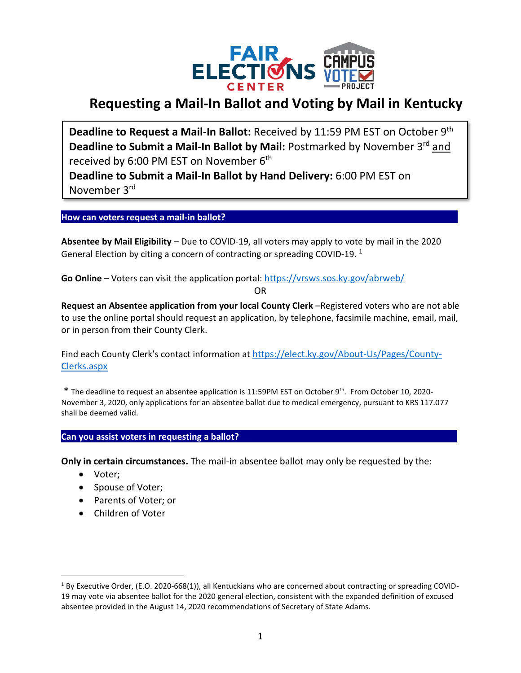

# **Requesting a Mail-In Ballot and Voting by Mail in Kentucky**

**Deadline to Request a Mail-In Ballot:** Received by 11:59 PM EST on October 9th **Deadline to Submit a Mail-In Ballot by Mail: Postmarked by November 3<sup>rd</sup> and** received by 6:00 PM EST on November 6<sup>th</sup>

**Deadline to Submit a Mail-In Ballot by Hand Delivery:** 6:00 PM EST on November 3<sup>rd</sup>

**How can voters request a mail-in ballot? ...**

**Absentee by Mail Eligibility** – Due to COVID-19, all voters may apply to vote by mail in the 2020 General Election by citing a concern of contracting or spreading COVID-19.  $^1$ 

Go Online - Voters can visit the application portal: <https://vrsws.sos.ky.gov/abrweb/>

OR

**Request an Absentee application from your local County Clerk** –Registered voters who are not able to use the online portal should request an application, by telephone, facsimile machine, email, mail, or in person from their County Clerk.

Find each County Clerk's contact information at [https://elect.ky.gov/About-Us/Pages/County-](https://elect.ky.gov/About-Us/Pages/County-Clerks.aspx)[Clerks.aspx](https://elect.ky.gov/About-Us/Pages/County-Clerks.aspx)

\* The deadline to request an absentee application is 11:59PM EST on October 9<sup>th</sup>. From October 10, 2020-November 3, 2020, only applications for an absentee ballot due to medical emergency, pursuant to KRS 117.077 shall be deemed valid.

## Can you assist voters in requesting a ballot?

**Only in certain circumstances.** The mail-in absentee ballot may only be requested by the:

- Voter;
- Spouse of Voter;
- Parents of Voter; or
- Children of Voter

 $1$  By Executive Order, (E.O. 2020-668(1)), all Kentuckians who are concerned about contracting or spreading COVID-19 may vote via absentee ballot for the 2020 general election, consistent with the expanded definition of excused absentee provided in the August 14, 2020 recommendations of Secretary of State Adams.